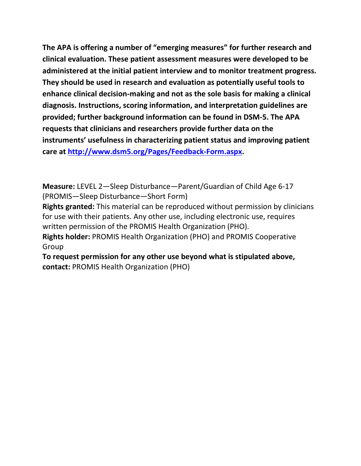**The APA is offering a number of "emerging measures" for further research and clinical evaluation. These patient assessment measures were developed to be administered at the initial patient interview and to monitor treatment progress. They should be used in research and evaluation as potentially useful tools to enhance clinical decision-making and not as the sole basis for making a clinical diagnosis. Instructions, scoring information, and interpretation guidelines are provided; further background information can be found in DSM-5. The APA requests that clinicians and researchers provide further data on the instruments' usefulness in characterizing patient status and improving patient care at [http://www.dsm5.org/Pages/Feedback-Form.aspx.](http://www.dsm5.org/Pages/Feedback-Form.aspx)**

**Measure:** LEVEL 2—Sleep Disturbance—Parent/Guardian of Child Age 6-17 (PROMIS—Sleep Disturbance—Short Form)

**Rights granted:** This material can be reproduced without permission by clinicians for use with their patients. Any other use, including electronic use, requires written permission of the PROMIS Health Organization (PHO).

**Rights holder:** PROMIS Health Organization (PHO) and PROMIS Cooperative Group

**To request permission for any other use beyond what is stipulated above, contact:** PROMIS Health Organization (PHO)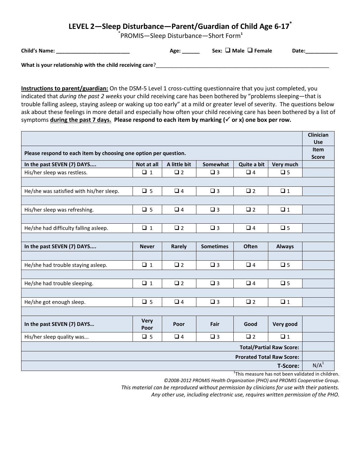## **LEVEL 2—Sleep Disturbance—Parent/Guardian of Child Age 6-17\***

\* PROMIS—Sleep Disturbance—Short Form**<sup>1</sup>**

| <b>Child's Name:</b> | Age: | Sex: $\Box$ Male $\Box$ Female | Date: |
|----------------------|------|--------------------------------|-------|
|                      |      |                                |       |

What is your relationship with the child receiving care?

**Instructions to parent/guardian:** On the DSM-5 Level 1 cross-cutting questionnaire that you just completed, you indicated that *during the past 2 weeks* your child receiving care has been bothered by "problems sleeping—that is trouble falling asleep, staying asleep or waking up too early" at a mild or greater level of severity. The questions below ask about these feelings in more detail and especially how often your child receiving care has been bothered by a list of symptoms **during the past 7 days. Please respond to each item by marking ( or x) one box per row.**

|                                                                          |                     |              |                  |             |               | Clinician    |
|--------------------------------------------------------------------------|---------------------|--------------|------------------|-------------|---------------|--------------|
|                                                                          |                     |              |                  |             |               | <b>Use</b>   |
| Please respond to each item by choosing one option per question.         |                     |              |                  |             |               |              |
| In the past SEVEN (7) DAYS                                               | Not at all          | A little bit | Somewhat         | Quite a bit | Very much     | <b>Score</b> |
| His/her sleep was restless.                                              | $\Box$ 1            | $\Box$ 2     | $\square$ 3      | $\Box$ 4    | $\Box$ 5      |              |
|                                                                          |                     |              |                  |             |               |              |
| He/she was satisfied with his/her sleep.                                 | $\Box$ 5            | $\Box$ 4     | $\Box$ 3         | $\square$ 2 | $\Box$ 1      |              |
|                                                                          |                     |              |                  |             |               |              |
| His/her sleep was refreshing.                                            | $\Box$ 5            | $\Box$ 4     | $\square$ 3      | $\Box$ 2    | $\Box$ 1      |              |
|                                                                          |                     |              |                  |             |               |              |
| He/she had difficulty falling asleep.                                    | $\Box$ 1            | $\square$ 2  | $\square$ 3      | $\Box$ 4    | $\Box$ 5      |              |
|                                                                          |                     |              |                  |             |               |              |
| In the past SEVEN (7) DAYS                                               | <b>Never</b>        | Rarely       | <b>Sometimes</b> | Often       | <b>Always</b> |              |
|                                                                          |                     |              |                  |             |               |              |
| He/she had trouble staying asleep.                                       | $\Box$ 1            | $\Box$ 2     | $\square$ 3      | $\Box$ 4    | $\square$ 5   |              |
|                                                                          |                     |              |                  |             |               |              |
| He/she had trouble sleeping.                                             | $\Box$ 1            | $\square$ 2  | $\square$ 3      | $\Box$ 4    | $\square$ 5   |              |
|                                                                          |                     |              |                  |             |               |              |
| He/she got enough sleep.                                                 | $\Box$ 5            | $\Box$ 4     | $\square$ 3      | $\square$ 2 | $\Box$ 1      |              |
|                                                                          |                     |              |                  |             |               |              |
| In the past SEVEN (7) DAYS                                               | <b>Very</b><br>Poor | Poor         | Fair             | Good        | Very good     |              |
| His/her sleep quality was                                                | $\Box$ 5            | $\Box$ 4     | $\square$ 3      | $\square$ 2 | $\Box$ 1      |              |
| <b>Total/Partial Raw Score:</b>                                          |                     |              |                  |             |               |              |
| <b>Prorated Total Raw Score:</b>                                         |                     |              |                  |             |               |              |
| <b>T-Score:</b>                                                          |                     |              |                  |             |               |              |
| $1\tau$ lata pada ang ang kalapatan bahang na Balapatan ing lalakit alam |                     |              |                  |             |               |              |

 $1$ This measure has not been validated in children.

*©2008-2012 PROMIS Health Organization (PHO) and PROMIS Cooperative Group. This material can be reproduced without permission by clinicians for use with their patients.*

*Any other use, including electronic use, requires written permission of the PHO.*